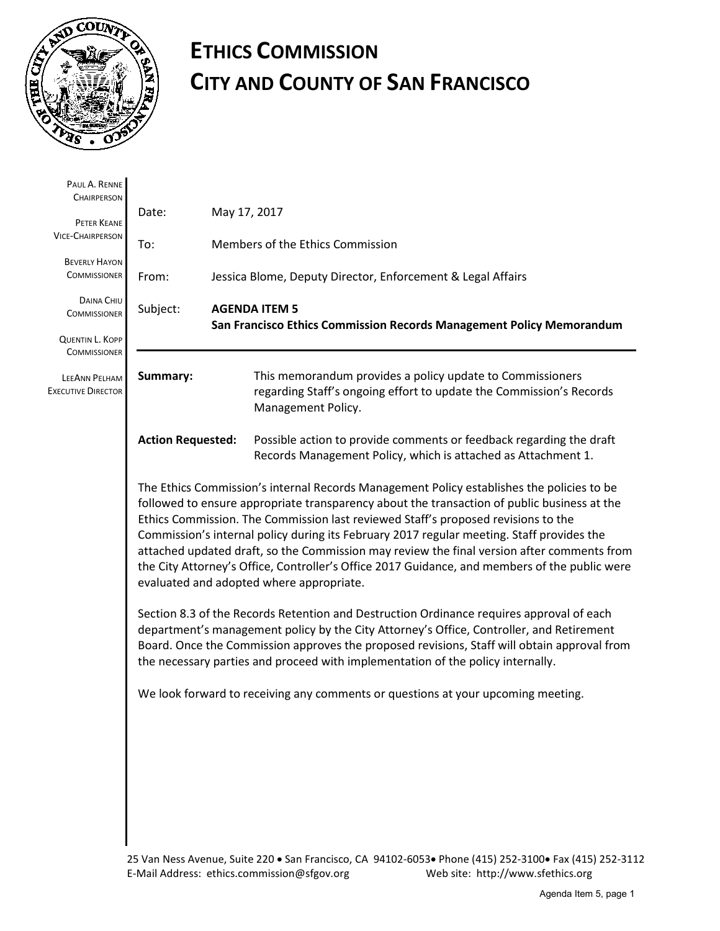

# **ETHICS COMMISSION CITY AND COUNTY OF SAN FRANCISCO**

| PAUL A. RENNE<br><b>CHAIRPERSON</b>           |                                                                                                                                                                                                                                                                                                                                                                                                                                                                                                                                                                                                                       |  |                                                                                                                                                                                                                                                                                                                                                                        |  |
|-----------------------------------------------|-----------------------------------------------------------------------------------------------------------------------------------------------------------------------------------------------------------------------------------------------------------------------------------------------------------------------------------------------------------------------------------------------------------------------------------------------------------------------------------------------------------------------------------------------------------------------------------------------------------------------|--|------------------------------------------------------------------------------------------------------------------------------------------------------------------------------------------------------------------------------------------------------------------------------------------------------------------------------------------------------------------------|--|
|                                               | Date:                                                                                                                                                                                                                                                                                                                                                                                                                                                                                                                                                                                                                 |  | May 17, 2017                                                                                                                                                                                                                                                                                                                                                           |  |
| PETER KEANE<br><b>VICE-CHAIRPERSON</b>        | To:                                                                                                                                                                                                                                                                                                                                                                                                                                                                                                                                                                                                                   |  | Members of the Ethics Commission                                                                                                                                                                                                                                                                                                                                       |  |
| <b>BEVERLY HAYON</b><br><b>COMMISSIONER</b>   | From:                                                                                                                                                                                                                                                                                                                                                                                                                                                                                                                                                                                                                 |  | Jessica Blome, Deputy Director, Enforcement & Legal Affairs                                                                                                                                                                                                                                                                                                            |  |
| DAINA CHIU<br><b>COMMISSIONER</b>             | Subject:                                                                                                                                                                                                                                                                                                                                                                                                                                                                                                                                                                                                              |  | <b>AGENDA ITEM 5</b><br>San Francisco Ethics Commission Records Management Policy Memorandum                                                                                                                                                                                                                                                                           |  |
| <b>QUENTIN L. KOPP</b><br><b>COMMISSIONER</b> |                                                                                                                                                                                                                                                                                                                                                                                                                                                                                                                                                                                                                       |  |                                                                                                                                                                                                                                                                                                                                                                        |  |
| LEEANN PELHAM<br><b>EXECUTIVE DIRECTOR</b>    | Summary:                                                                                                                                                                                                                                                                                                                                                                                                                                                                                                                                                                                                              |  | This memorandum provides a policy update to Commissioners<br>regarding Staff's ongoing effort to update the Commission's Records<br>Management Policy.                                                                                                                                                                                                                 |  |
|                                               | <b>Action Requested:</b>                                                                                                                                                                                                                                                                                                                                                                                                                                                                                                                                                                                              |  | Possible action to provide comments or feedback regarding the draft<br>Records Management Policy, which is attached as Attachment 1.                                                                                                                                                                                                                                   |  |
|                                               | The Ethics Commission's internal Records Management Policy establishes the policies to be<br>followed to ensure appropriate transparency about the transaction of public business at the<br>Ethics Commission. The Commission last reviewed Staff's proposed revisions to the<br>Commission's internal policy during its February 2017 regular meeting. Staff provides the<br>attached updated draft, so the Commission may review the final version after comments from<br>the City Attorney's Office, Controller's Office 2017 Guidance, and members of the public were<br>evaluated and adopted where appropriate. |  |                                                                                                                                                                                                                                                                                                                                                                        |  |
|                                               |                                                                                                                                                                                                                                                                                                                                                                                                                                                                                                                                                                                                                       |  | Section 8.3 of the Records Retention and Destruction Ordinance requires approval of each<br>department's management policy by the City Attorney's Office, Controller, and Retirement<br>Board. Once the Commission approves the proposed revisions, Staff will obtain approval from<br>the necessary parties and proceed with implementation of the policy internally. |  |
|                                               |                                                                                                                                                                                                                                                                                                                                                                                                                                                                                                                                                                                                                       |  | We look forward to receiving any comments or questions at your upcoming meeting.                                                                                                                                                                                                                                                                                       |  |
|                                               |                                                                                                                                                                                                                                                                                                                                                                                                                                                                                                                                                                                                                       |  |                                                                                                                                                                                                                                                                                                                                                                        |  |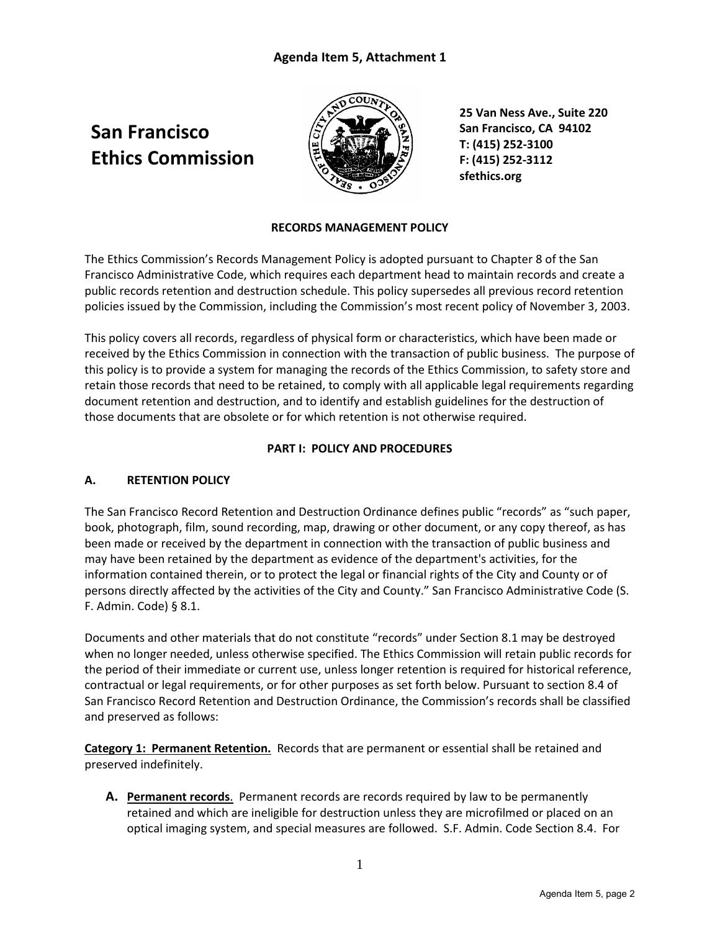# **San Francisco Ethics Commission**



**25 Van Ness Ave., Suite 220 San Francisco, CA 94102 T: (415) 252-3100 F: (415) 252-3112 sfethics.org**

### **RECORDS MANAGEMENT POLICY**

The Ethics Commission's Records Management Policy is adopted pursuant to Chapter 8 of the San Francisco Administrative Code, which requires each department head to maintain records and create a public records retention and destruction schedule. This policy supersedes all previous record retention policies issued by the Commission, including the Commission's most recent policy of November 3, 2003.

This policy covers all records, regardless of physical form or characteristics, which have been made or received by the Ethics Commission in connection with the transaction of public business. The purpose of this policy is to provide a system for managing the records of the Ethics Commission, to safety store and retain those records that need to be retained, to comply with all applicable legal requirements regarding document retention and destruction, and to identify and establish guidelines for the destruction of those documents that are obsolete or for which retention is not otherwise required.

#### **PART I: POLICY AND PROCEDURES**

#### **A. RETENTION POLICY**

The San Francisco Record Retention and Destruction Ordinance defines public "records" as "such paper, book, photograph, film, sound recording, map, drawing or other document, or any copy thereof, as has been made or received by the department in connection with the transaction of public business and may have been retained by the department as evidence of the department's activities, for the information contained therein, or to protect the legal or financial rights of the City and County or of persons directly affected by the activities of the City and County." San Francisco Administrative Code (S. F. Admin. Code) § 8.1.

Documents and other materials that do not constitute "records" under Section 8.1 may be destroyed when no longer needed, unless otherwise specified. The Ethics Commission will retain public records for the period of their immediate or current use, unless longer retention is required for historical reference, contractual or legal requirements, or for other purposes as set forth below. Pursuant to section 8.4 of San Francisco Record Retention and Destruction Ordinance, the Commission's records shall be classified and preserved as follows:

**Category 1: Permanent Retention.** Records that are permanent or essential shall be retained and preserved indefinitely.

**A. Permanent records**. Permanent records are records required by law to be permanently retained and which are ineligible for destruction unless they are microfilmed or placed on an optical imaging system, and special measures are followed. S.F. Admin. Code Section 8.4. For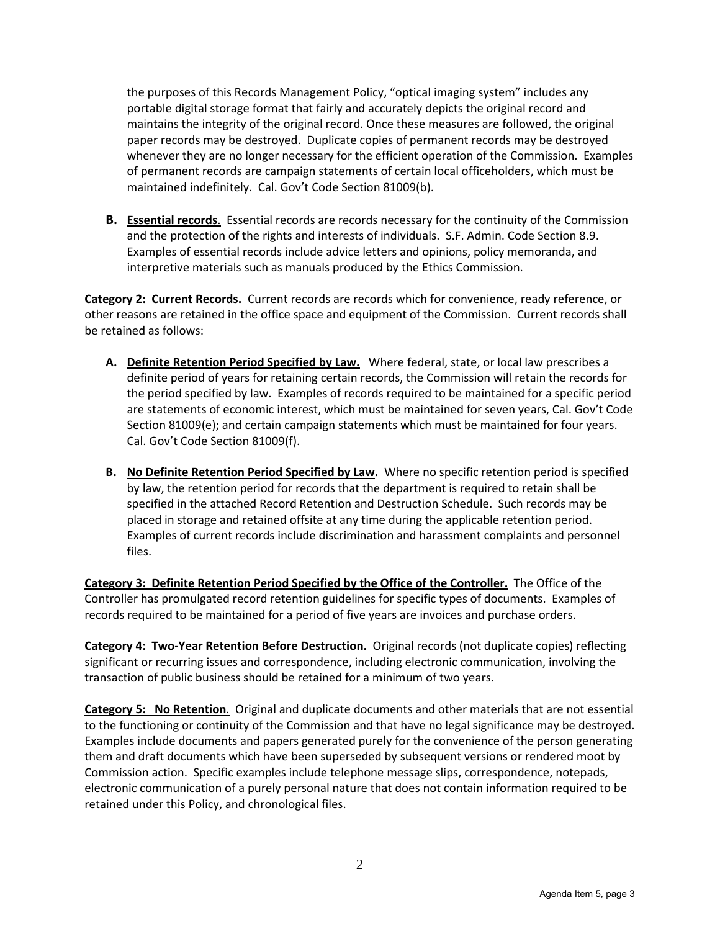the purposes of this Records Management Policy, "optical imaging system" includes any portable digital storage format that fairly and accurately depicts the original record and maintains the integrity of the original record. Once these measures are followed, the original paper records may be destroyed. Duplicate copies of permanent records may be destroyed whenever they are no longer necessary for the efficient operation of the Commission. Examples of permanent records are campaign statements of certain local officeholders, which must be maintained indefinitely. Cal. Gov't Code Section 81009(b).

**B. Essential records**. Essential records are records necessary for the continuity of the Commission and the protection of the rights and interests of individuals. S.F. Admin. Code Section 8.9. Examples of essential records include advice letters and opinions, policy memoranda, and interpretive materials such as manuals produced by the Ethics Commission.

**Category 2: Current Records.** Current records are records which for convenience, ready reference, or other reasons are retained in the office space and equipment of the Commission. Current records shall be retained as follows:

- **A. Definite Retention Period Specified by Law.** Where federal, state, or local law prescribes a definite period of years for retaining certain records, the Commission will retain the records for the period specified by law. Examples of records required to be maintained for a specific period are statements of economic interest, which must be maintained for seven years, Cal. Gov't Code Section 81009(e); and certain campaign statements which must be maintained for four years. Cal. Gov't Code Section 81009(f).
- **B. No Definite Retention Period Specified by Law.** Where no specific retention period is specified by law, the retention period for records that the department is required to retain shall be specified in the attached Record Retention and Destruction Schedule. Such records may be placed in storage and retained offsite at any time during the applicable retention period. Examples of current records include discrimination and harassment complaints and personnel files.

**Category 3: Definite Retention Period Specified by the Office of the Controller.** The Office of the Controller has promulgated record retention guidelines for specific types of documents. Examples of records required to be maintained for a period of five years are invoices and purchase orders.

**Category 4: Two-Year Retention Before Destruction.** Original records (not duplicate copies) reflecting significant or recurring issues and correspondence, including electronic communication, involving the transaction of public business should be retained for a minimum of two years.

**Category 5: No Retention**. Original and duplicate documents and other materials that are not essential to the functioning or continuity of the Commission and that have no legal significance may be destroyed. Examples include documents and papers generated purely for the convenience of the person generating them and draft documents which have been superseded by subsequent versions or rendered moot by Commission action. Specific examples include telephone message slips, correspondence, notepads, electronic communication of a purely personal nature that does not contain information required to be retained under this Policy, and chronological files.

2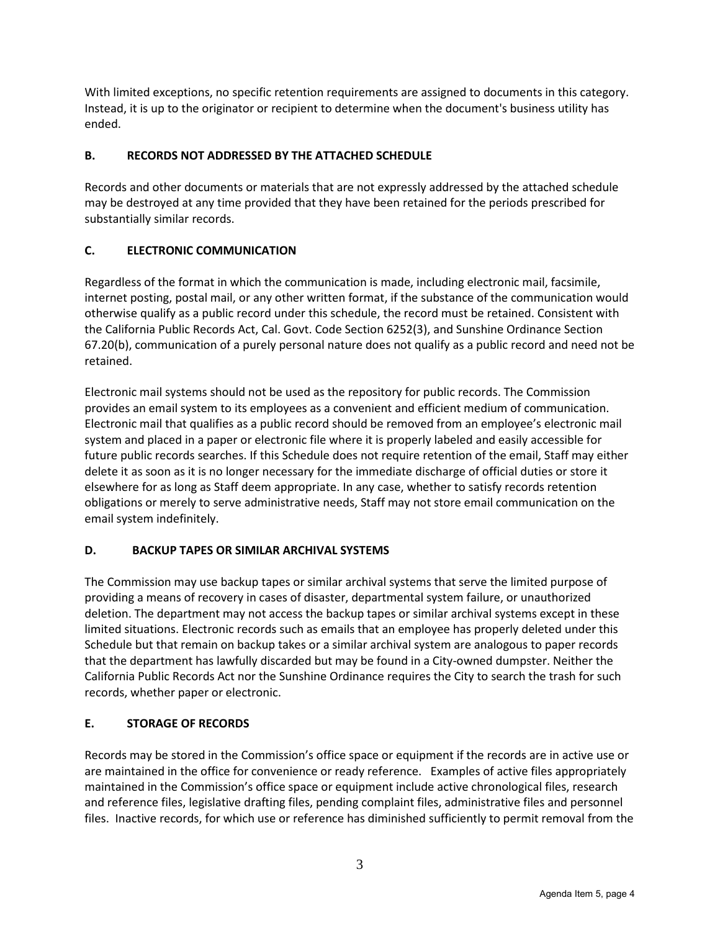With limited exceptions, no specific retention requirements are assigned to documents in this category. Instead, it is up to the originator or recipient to determine when the document's business utility has ended.

#### **B. RECORDS NOT ADDRESSED BY THE ATTACHED SCHEDULE**

Records and other documents or materials that are not expressly addressed by the attached schedule may be destroyed at any time provided that they have been retained for the periods prescribed for substantially similar records.

### **C. ELECTRONIC COMMUNICATION**

Regardless of the format in which the communication is made, including electronic mail, facsimile, internet posting, postal mail, or any other written format, if the substance of the communication would otherwise qualify as a public record under this schedule, the record must be retained. Consistent with the California Public Records Act, Cal. Govt. Code Section 6252(3), and Sunshine Ordinance Section 67.20(b), communication of a purely personal nature does not qualify as a public record and need not be retained.

Electronic mail systems should not be used as the repository for public records. The Commission provides an email system to its employees as a convenient and efficient medium of communication. Electronic mail that qualifies as a public record should be removed from an employee's electronic mail system and placed in a paper or electronic file where it is properly labeled and easily accessible for future public records searches. If this Schedule does not require retention of the email, Staff may either delete it as soon as it is no longer necessary for the immediate discharge of official duties or store it elsewhere for as long as Staff deem appropriate. In any case, whether to satisfy records retention obligations or merely to serve administrative needs, Staff may not store email communication on the email system indefinitely.

#### **D. BACKUP TAPES OR SIMILAR ARCHIVAL SYSTEMS**

The Commission may use backup tapes or similar archival systems that serve the limited purpose of providing a means of recovery in cases of disaster, departmental system failure, or unauthorized deletion. The department may not access the backup tapes or similar archival systems except in these limited situations. Electronic records such as emails that an employee has properly deleted under this Schedule but that remain on backup takes or a similar archival system are analogous to paper records that the department has lawfully discarded but may be found in a City-owned dumpster. Neither the California Public Records Act nor the Sunshine Ordinance requires the City to search the trash for such records, whether paper or electronic.

#### **E. STORAGE OF RECORDS**

Records may be stored in the Commission's office space or equipment if the records are in active use or are maintained in the office for convenience or ready reference. Examples of active files appropriately maintained in the Commission's office space or equipment include active chronological files, research and reference files, legislative drafting files, pending complaint files, administrative files and personnel files. Inactive records, for which use or reference has diminished sufficiently to permit removal from the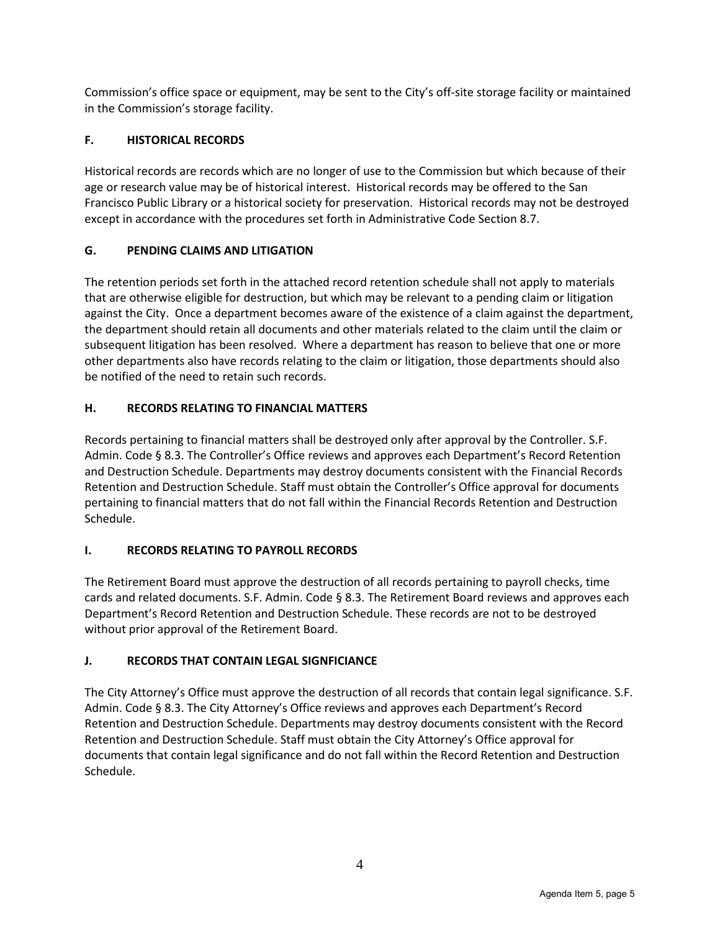Commission's office space or equipment, may be sent to the City's off-site storage facility or maintained in the Commission's storage facility.

#### **F. HISTORICAL RECORDS**

Historical records are records which are no longer of use to the Commission but which because of their age or research value may be of historical interest. Historical records may be offered to the San Francisco Public Library or a historical society for preservation. Historical records may not be destroyed except in accordance with the procedures set forth in Administrative Code Section 8.7.

### **G. PENDING CLAIMS AND LITIGATION**

The retention periods set forth in the attached record retention schedule shall not apply to materials that are otherwise eligible for destruction, but which may be relevant to a pending claim or litigation against the City. Once a department becomes aware of the existence of a claim against the department, the department should retain all documents and other materials related to the claim until the claim or subsequent litigation has been resolved. Where a department has reason to believe that one or more other departments also have records relating to the claim or litigation, those departments should also be notified of the need to retain such records.

### **H. RECORDS RELATING TO FINANCIAL MATTERS**

Records pertaining to financial matters shall be destroyed only after approval by the Controller. S.F. Admin. Code § 8.3. The Controller's Office reviews and approves each Department's Record Retention and Destruction Schedule. Departments may destroy documents consistent with the Financial Records Retention and Destruction Schedule. Staff must obtain the Controller's Office approval for documents pertaining to financial matters that do not fall within the Financial Records Retention and Destruction Schedule.

#### **I. RECORDS RELATING TO PAYROLL RECORDS**

The Retirement Board must approve the destruction of all records pertaining to payroll checks, time cards and related documents. S.F. Admin. Code § 8.3. The Retirement Board reviews and approves each Department's Record Retention and Destruction Schedule. These records are not to be destroyed without prior approval of the Retirement Board.

# **J. RECORDS THAT CONTAIN LEGAL SIGNFICIANCE**

The City Attorney's Office must approve the destruction of all records that contain legal significance. S.F. Admin. Code § 8.3. The City Attorney's Office reviews and approves each Department's Record Retention and Destruction Schedule. Departments may destroy documents consistent with the Record Retention and Destruction Schedule. Staff must obtain the City Attorney's Office approval for documents that contain legal significance and do not fall within the Record Retention and Destruction Schedule.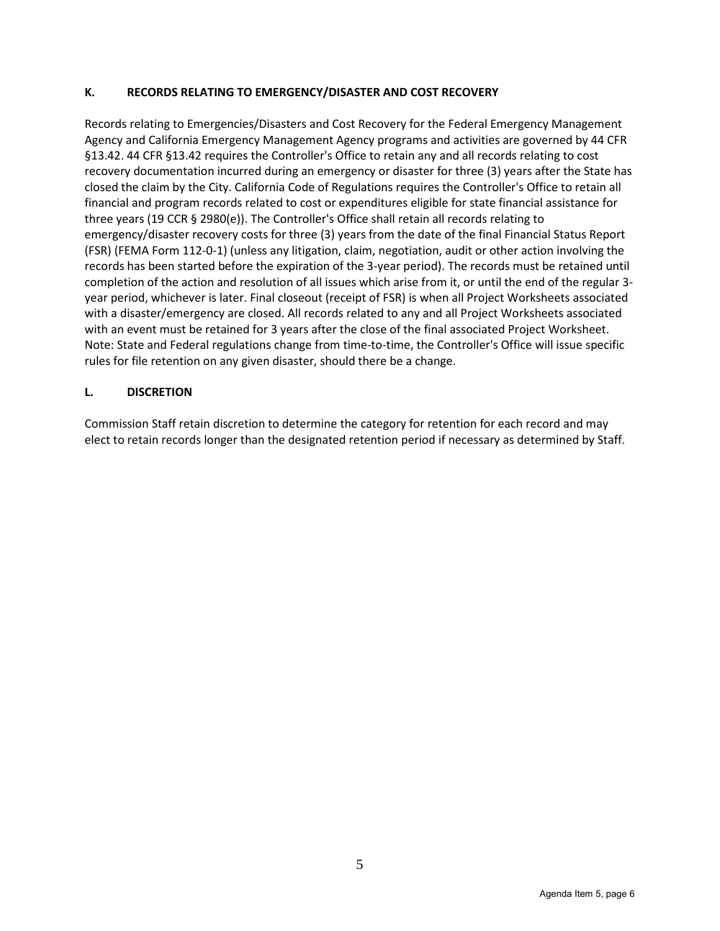#### **K. RECORDS RELATING TO EMERGENCY/DISASTER AND COST RECOVERY**

Records relating to Emergencies/Disasters and Cost Recovery for the Federal Emergency Management Agency and California Emergency Management Agency programs and activities are governed by 44 CFR §13.42. 44 CFR §13.42 requires the Controller's Office to retain any and all records relating to cost recovery documentation incurred during an emergency or disaster for three (3) years after the State has closed the claim by the City. California Code of Regulations requires the Controller's Office to retain all financial and program records related to cost or expenditures eligible for state financial assistance for three years (19 CCR § 2980(e)). The Controller's Office shall retain all records relating to emergency/disaster recovery costs for three (3) years from the date of the final Financial Status Report (FSR) (FEMA Form 112-0-1) (unless any litigation, claim, negotiation, audit or other action involving the records has been started before the expiration of the 3-year period). The records must be retained until completion of the action and resolution of all issues which arise from it, or until the end of the regular 3 year period, whichever is later. Final closeout (receipt of FSR) is when all Project Worksheets associated with a disaster/emergency are closed. All records related to any and all Project Worksheets associated with an event must be retained for 3 years after the close of the final associated Project Worksheet. Note: State and Federal regulations change from time-to-time, the Controller's Office will issue specific rules for file retention on any given disaster, should there be a change.

#### **L. DISCRETION**

Commission Staff retain discretion to determine the category for retention for each record and may elect to retain records longer than the designated retention period if necessary as determined by Staff.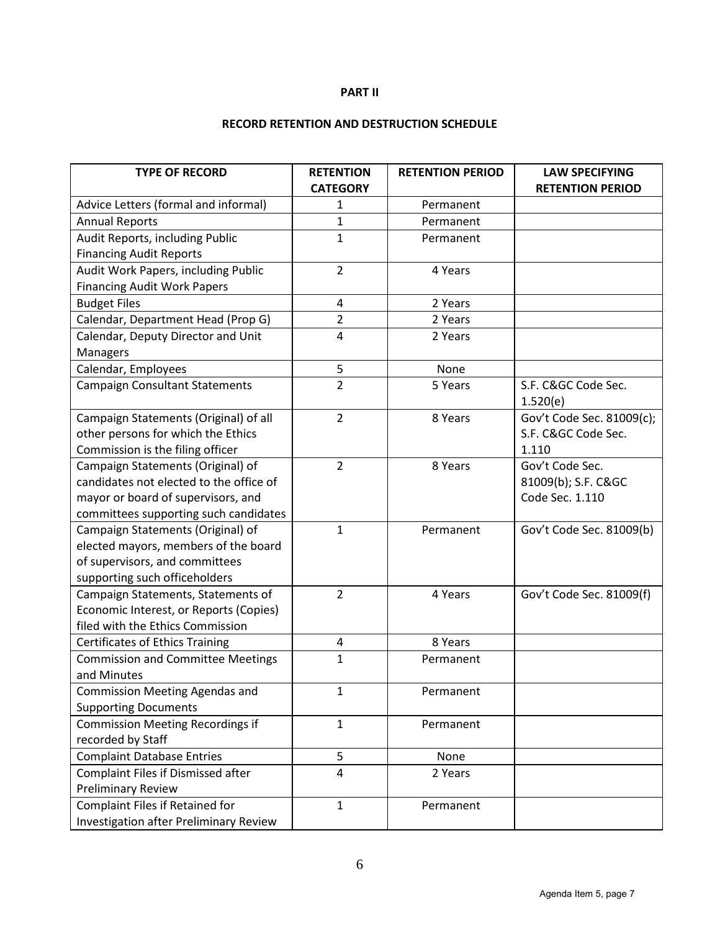#### **PART II**

# **RECORD RETENTION AND DESTRUCTION SCHEDULE**

| <b>TYPE OF RECORD</b>                                                        | <b>RETENTION</b><br><b>CATEGORY</b> | <b>RETENTION PERIOD</b> | <b>LAW SPECIFYING</b><br><b>RETENTION PERIOD</b> |
|------------------------------------------------------------------------------|-------------------------------------|-------------------------|--------------------------------------------------|
| Advice Letters (formal and informal)                                         | 1                                   | Permanent               |                                                  |
| <b>Annual Reports</b>                                                        | 1                                   | Permanent               |                                                  |
| Audit Reports, including Public                                              | $\mathbf 1$                         | Permanent               |                                                  |
| <b>Financing Audit Reports</b>                                               |                                     |                         |                                                  |
| Audit Work Papers, including Public                                          | $\overline{2}$                      | 4 Years                 |                                                  |
| <b>Financing Audit Work Papers</b>                                           |                                     |                         |                                                  |
| <b>Budget Files</b>                                                          | 4                                   | 2 Years                 |                                                  |
| Calendar, Department Head (Prop G)                                           | 2                                   | 2 Years                 |                                                  |
| Calendar, Deputy Director and Unit                                           | 4                                   | 2 Years                 |                                                  |
| Managers                                                                     |                                     |                         |                                                  |
| Calendar, Employees                                                          | 5                                   | None                    |                                                  |
| <b>Campaign Consultant Statements</b>                                        | $\overline{2}$                      | 5 Years                 | S.F. C&GC Code Sec.                              |
|                                                                              |                                     |                         | 1.520(e)                                         |
| Campaign Statements (Original) of all                                        | $\overline{2}$                      | 8 Years                 | Gov't Code Sec. 81009(c);                        |
| other persons for which the Ethics                                           |                                     |                         | S.F. C&GC Code Sec.<br>1.110                     |
| Commission is the filing officer                                             | $\overline{2}$                      | 8 Years                 | Gov't Code Sec.                                  |
| Campaign Statements (Original) of<br>candidates not elected to the office of |                                     |                         | 81009(b); S.F. C&GC                              |
| mayor or board of supervisors, and                                           |                                     |                         | Code Sec. 1.110                                  |
| committees supporting such candidates                                        |                                     |                         |                                                  |
| Campaign Statements (Original) of                                            | 1                                   | Permanent               | Gov't Code Sec. 81009(b)                         |
| elected mayors, members of the board                                         |                                     |                         |                                                  |
| of supervisors, and committees                                               |                                     |                         |                                                  |
| supporting such officeholders                                                |                                     |                         |                                                  |
| Campaign Statements, Statements of                                           | $\overline{2}$                      | 4 Years                 | Gov't Code Sec. 81009(f)                         |
| Economic Interest, or Reports (Copies)                                       |                                     |                         |                                                  |
| filed with the Ethics Commission                                             |                                     |                         |                                                  |
| <b>Certificates of Ethics Training</b>                                       | 4                                   | 8 Years                 |                                                  |
| <b>Commission and Committee Meetings</b>                                     | 1                                   | Permanent               |                                                  |
| and Minutes                                                                  |                                     |                         |                                                  |
| Commission Meeting Agendas and                                               | 1                                   | Permanent               |                                                  |
| <b>Supporting Documents</b>                                                  |                                     |                         |                                                  |
| <b>Commission Meeting Recordings if</b>                                      | $\mathbf{1}$                        | Permanent               |                                                  |
| recorded by Staff                                                            |                                     |                         |                                                  |
| <b>Complaint Database Entries</b>                                            | 5                                   | None                    |                                                  |
| Complaint Files if Dismissed after                                           | 4                                   | 2 Years                 |                                                  |
| <b>Preliminary Review</b>                                                    |                                     |                         |                                                  |
| Complaint Files if Retained for                                              | $\mathbf{1}$                        | Permanent               |                                                  |
| <b>Investigation after Preliminary Review</b>                                |                                     |                         |                                                  |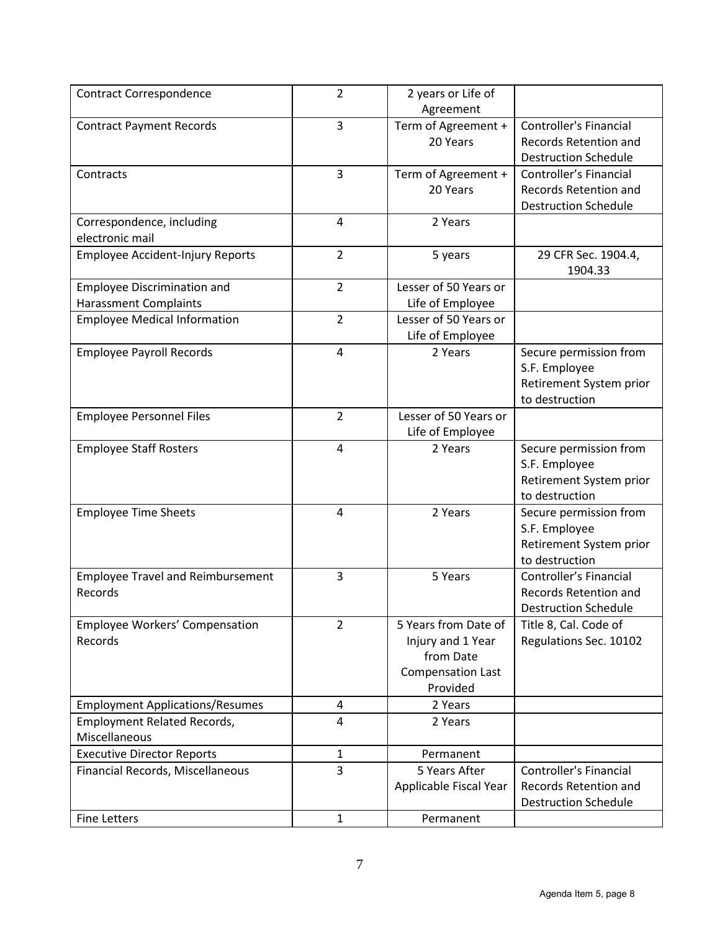| <b>Contract Correspondence</b>                                               | $\overline{2}$ | 2 years or Life of                   |                               |
|------------------------------------------------------------------------------|----------------|--------------------------------------|-------------------------------|
|                                                                              |                | Agreement                            |                               |
| <b>Contract Payment Records</b>                                              | 3              | Term of Agreement +                  | <b>Controller's Financial</b> |
|                                                                              |                | 20 Years                             | Records Retention and         |
|                                                                              |                |                                      | <b>Destruction Schedule</b>   |
| Contracts                                                                    | 3              | Term of Agreement +                  | Controller's Financial        |
|                                                                              |                | 20 Years                             | Records Retention and         |
|                                                                              |                |                                      | <b>Destruction Schedule</b>   |
| Correspondence, including                                                    | $\overline{4}$ | 2 Years                              |                               |
| electronic mail                                                              |                |                                      |                               |
| Employee Accident-Injury Reports                                             | $\overline{2}$ | 5 years                              | 29 CFR Sec. 1904.4,           |
|                                                                              |                |                                      | 1904.33                       |
| <b>Employee Discrimination and</b>                                           | $\overline{2}$ | Lesser of 50 Years or                |                               |
| <b>Harassment Complaints</b>                                                 |                | Life of Employee                     |                               |
| <b>Employee Medical Information</b>                                          | $\overline{2}$ | Lesser of 50 Years or                |                               |
|                                                                              |                | Life of Employee                     |                               |
| <b>Employee Payroll Records</b>                                              | $\overline{4}$ | 2 Years                              | Secure permission from        |
|                                                                              |                |                                      | S.F. Employee                 |
|                                                                              |                |                                      | Retirement System prior       |
|                                                                              |                |                                      | to destruction                |
| <b>Employee Personnel Files</b>                                              | $\overline{2}$ | Lesser of 50 Years or                |                               |
|                                                                              |                | Life of Employee                     |                               |
| <b>Employee Staff Rosters</b>                                                | $\overline{4}$ | 2 Years                              | Secure permission from        |
|                                                                              |                |                                      | S.F. Employee                 |
|                                                                              |                |                                      | Retirement System prior       |
|                                                                              |                |                                      | to destruction                |
| <b>Employee Time Sheets</b>                                                  | 4              | 2 Years                              | Secure permission from        |
|                                                                              |                |                                      | S.F. Employee                 |
|                                                                              |                |                                      | Retirement System prior       |
|                                                                              |                |                                      | to destruction                |
| <b>Employee Travel and Reimbursement</b>                                     | 3              | 5 Years                              | Controller's Financial        |
| Records                                                                      |                |                                      | Records Retention and         |
|                                                                              | $\overline{2}$ |                                      | <b>Destruction Schedule</b>   |
| Employee Workers' Compensation                                               |                | 5 Years from Date of                 | Title 8, Cal. Code of         |
| Records                                                                      |                | Injury and 1 Year<br>from Date       | Regulations Sec. 10102        |
|                                                                              |                |                                      |                               |
|                                                                              |                | <b>Compensation Last</b><br>Provided |                               |
|                                                                              | 4              | 2 Years                              |                               |
| <b>Employment Applications/Resumes</b><br><b>Employment Related Records,</b> | 4              | 2 Years                              |                               |
| Miscellaneous                                                                |                |                                      |                               |
| <b>Executive Director Reports</b>                                            |                |                                      |                               |
|                                                                              | 1<br>3         | Permanent<br>5 Years After           | <b>Controller's Financial</b> |
| Financial Records, Miscellaneous                                             |                |                                      | Records Retention and         |
|                                                                              |                | Applicable Fiscal Year               | <b>Destruction Schedule</b>   |
|                                                                              |                |                                      |                               |
| <b>Fine Letters</b>                                                          | $\mathbf{1}$   | Permanent                            |                               |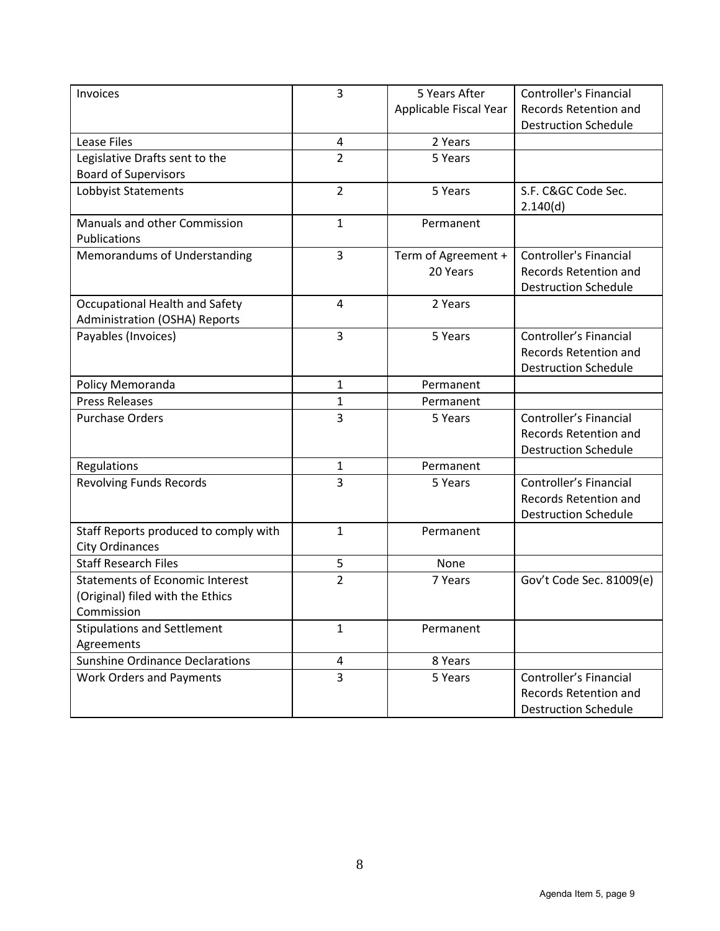| Invoices                               | 3              | 5 Years After          | <b>Controller's Financial</b> |
|----------------------------------------|----------------|------------------------|-------------------------------|
|                                        |                | Applicable Fiscal Year | Records Retention and         |
|                                        |                |                        | <b>Destruction Schedule</b>   |
| <b>Lease Files</b>                     | 4              | 2 Years                |                               |
| Legislative Drafts sent to the         | $\overline{2}$ | 5 Years                |                               |
| <b>Board of Supervisors</b>            |                |                        |                               |
| Lobbyist Statements                    | $\overline{2}$ | 5 Years                | S.F. C&GC Code Sec.           |
|                                        |                |                        | 2.140(d)                      |
| Manuals and other Commission           | $\mathbf{1}$   | Permanent              |                               |
| Publications                           |                |                        |                               |
| Memorandums of Understanding           | 3              | Term of Agreement +    | <b>Controller's Financial</b> |
|                                        |                | 20 Years               | Records Retention and         |
|                                        |                |                        | <b>Destruction Schedule</b>   |
| Occupational Health and Safety         | $\overline{4}$ | 2 Years                |                               |
| Administration (OSHA) Reports          |                |                        |                               |
| Payables (Invoices)                    | 3              | 5 Years                | Controller's Financial        |
|                                        |                |                        | Records Retention and         |
|                                        |                |                        | <b>Destruction Schedule</b>   |
| Policy Memoranda                       | 1              | Permanent              |                               |
| <b>Press Releases</b>                  | $\mathbf 1$    | Permanent              |                               |
| <b>Purchase Orders</b>                 | 3              | 5 Years                | Controller's Financial        |
|                                        |                |                        | <b>Records Retention and</b>  |
|                                        |                |                        | <b>Destruction Schedule</b>   |
| Regulations                            | 1              | Permanent              |                               |
| <b>Revolving Funds Records</b>         | 3              | 5 Years                | Controller's Financial        |
|                                        |                |                        | <b>Records Retention and</b>  |
|                                        |                |                        | <b>Destruction Schedule</b>   |
| Staff Reports produced to comply with  | $\mathbf{1}$   | Permanent              |                               |
| <b>City Ordinances</b>                 |                |                        |                               |
| <b>Staff Research Files</b>            | 5              | None                   |                               |
| <b>Statements of Economic Interest</b> | $\overline{2}$ | 7 Years                | Gov't Code Sec. 81009(e)      |
| (Original) filed with the Ethics       |                |                        |                               |
| Commission                             |                |                        |                               |
| <b>Stipulations and Settlement</b>     | 1              | Permanent              |                               |
| Agreements                             |                |                        |                               |
| <b>Sunshine Ordinance Declarations</b> | 4              | 8 Years                |                               |
| <b>Work Orders and Payments</b>        | 3              | 5 Years                | Controller's Financial        |
|                                        |                |                        | <b>Records Retention and</b>  |
|                                        |                |                        | <b>Destruction Schedule</b>   |